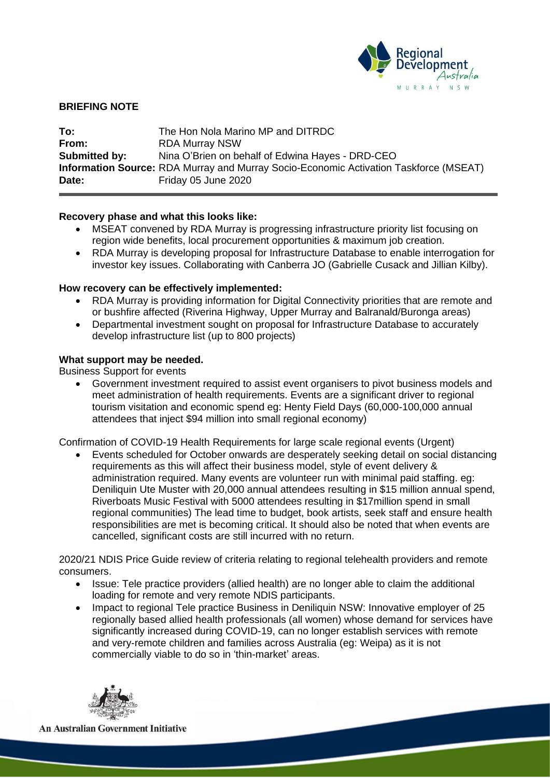

## **BRIEFING NOTE**

**To:** The Hon Nola Marino MP and DITRDC **From:** RDA Murray NSW **Submitted by:** Nina O'Brien on behalf of Edwina Hayes - DRD-CEO **Information Source:** RDA Murray and Murray Socio-Economic Activation Taskforce (MSEAT) **Date:** Friday 05 June 2020

## **Recovery phase and what this looks like:**

- MSEAT convened by RDA Murray is progressing infrastructure priority list focusing on region wide benefits, local procurement opportunities & maximum job creation.
- RDA Murray is developing proposal for Infrastructure Database to enable interrogation for investor key issues. Collaborating with Canberra JO (Gabrielle Cusack and Jillian Kilby).

#### **How recovery can be effectively implemented:**

- RDA Murray is providing information for Digital Connectivity priorities that are remote and or bushfire affected (Riverina Highway, Upper Murray and Balranald/Buronga areas)
- Departmental investment sought on proposal for Infrastructure Database to accurately develop infrastructure list (up to 800 projects)

# **What support may be needed.**

Business Support for events

• Government investment required to assist event organisers to pivot business models and meet administration of health requirements. Events are a significant driver to regional tourism visitation and economic spend eg: Henty Field Days (60,000-100,000 annual attendees that inject \$94 million into small regional economy)

Confirmation of COVID-19 Health Requirements for large scale regional events (Urgent)

• Events scheduled for October onwards are desperately seeking detail on social distancing requirements as this will affect their business model, style of event delivery & administration required. Many events are volunteer run with minimal paid staffing. eg: Deniliquin Ute Muster with 20,000 annual attendees resulting in \$15 million annual spend, Riverboats Music Festival with 5000 attendees resulting in \$17million spend in small regional communities) The lead time to budget, book artists, seek staff and ensure health responsibilities are met is becoming critical. It should also be noted that when events are cancelled, significant costs are still incurred with no return.

2020/21 NDIS Price Guide review of criteria relating to regional telehealth providers and remote consumers.

- Issue: Tele practice providers (allied health) are no longer able to claim the additional loading for remote and very remote NDIS participants.
- Impact to regional Tele practice Business in Deniliquin NSW: Innovative employer of 25 regionally based allied health professionals (all women) whose demand for services have significantly increased during COVID-19, can no longer establish services with remote and very-remote children and families across Australia (eg: Weipa) as it is not commercially viable to do so in 'thin-market' areas.



**An Australian Government Initiative**